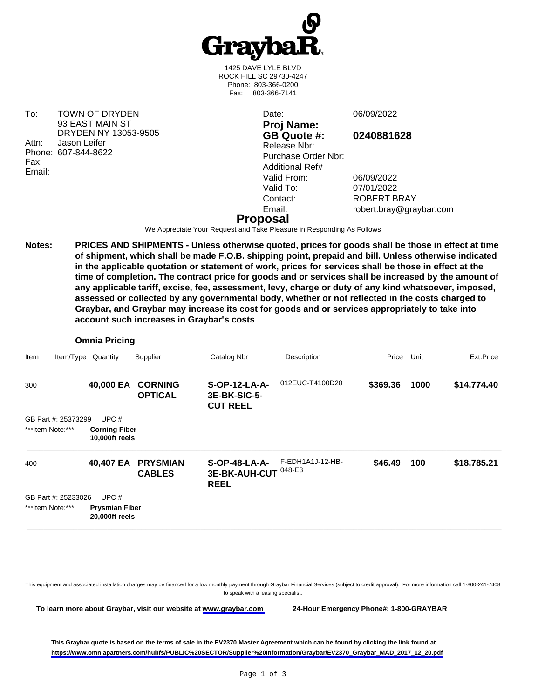

1425 DAVE LYLE BLVD ROCK HILL SC 29730-4247 Phone: 803-366-0200 Fax: 803-366-7141

To: TOWN OF DRYDEN 93 EAST MAIN ST DRYDEN NY 13053-9505 Attn: Jason Leifer Phone: 607-844-8622 Fax: Email:

**Proj Name: GB Quote #: 0240881628** Release Nbr: Purchase Order Nbr: Additional Ref# Valid From: 06/09/2022<br>Valid To: 07/01/2022 Valid To: 07/01/2022<br>Contact: ROBERT B

Date: 06/09/2022

ROBERT BRAY Email: robert.bray@graybar.com

## **Proposal**

We Appreciate Your Request and Take Pleasure in Responding As Follows

**Notes: PRICES AND SHIPMENTS - Unless otherwise quoted, prices for goods shall be those in effect at time of shipment, which shall be made F.O.B. shipping point, prepaid and bill. Unless otherwise indicated in the applicable quotation or statement of work, prices for services shall be those in effect at the time of completion. The contract price for goods and or services shall be increased by the amount of any applicable tariff, excise, fee, assessment, levy, charge or duty of any kind whatsoever, imposed, assessed or collected by any governmental body, whether or not reflected in the costs charged to Graybar, and Graybar may increase its cost for goods and or services appropriately to take into account such increases in Graybar's costs**

### **Omnia Pricing**

|                  | Quantity  | Supplier                                                                          | Catalog Nbr                                                                       | Description      | Price                           | Unit | Ext.Price   |
|------------------|-----------|-----------------------------------------------------------------------------------|-----------------------------------------------------------------------------------|------------------|---------------------------------|------|-------------|
|                  |           | <b>CORNING</b><br><b>OPTICAL</b>                                                  | S-OP-12-LA-A-<br>3E-BK-SIC-5-<br><b>CUT REEL</b>                                  | 012EUC-T4100D20  | \$369.36                        | 1000 | \$14,774.40 |
|                  | UPC $#$ : |                                                                                   |                                                                                   |                  |                                 |      |             |
| ***Item Note:*** |           |                                                                                   |                                                                                   |                  |                                 |      |             |
|                  |           | <b>PRYSMIAN</b><br><b>CABLES</b>                                                  | $S-OP-48-LA-A-$<br><b>REEL</b>                                                    | F-EDH1A1J-12-HB- | \$46.49                         | 100  | \$18,785.21 |
|                  | UPC $#$ : |                                                                                   |                                                                                   |                  |                                 |      |             |
| ***Item Note:*** |           |                                                                                   |                                                                                   |                  |                                 |      |             |
|                  |           | Item/Type<br>40,000 EA<br>GB Part #: 25373299<br>40,407 EA<br>GB Part #: 25233026 | <b>Corning Fiber</b><br>10,000ft reels<br><b>Prysmian Fiber</b><br>20,000ft reels |                  | 3E-BK-AUH-CUT <sup>048-E3</sup> |      |             |

This equipment and associated installation charges may be financed for a low monthly payment through Graybar Financial Services (subject to credit approval). For more information call 1-800-241-7408 to speak with a leasing specialist.

**To learn more about Graybar, visit our website at [www.graybar.com](www.graybar.com ) 24-Hour Emergency Phone#: 1-800-GRAYBAR**

**This Graybar quote is based on the terms of sale in the EV2370 Master Agreement which can be found by clicking the link found at [https://www.omniapartners.com/hubfs/PUBLIC%20SECTOR/Supplier%20Information/Graybar/EV2370\\_Graybar\\_MAD\\_2017\\_12\\_20.pdf](https://www.omniapartners.com/hubfs/PUBLIC%20SECTOR/Supplier%20Information/Graybar/EV2370_Graybar_MAD_2017_12_20.pdf)**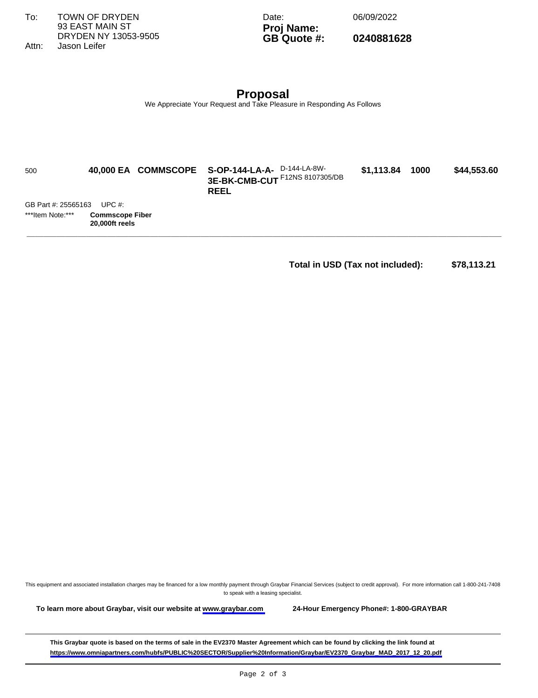To: TOWN OF DRYDEN 93 EAST MAIN ST DRYDEN NY 13053-9505

Date: 06/09/2022

**Proj Name: GB Quote #: 0240881628**

Attn: Jason Leifer

**Proposal** We Appreciate Your Request and Take Pleasure in Responding As Follows

| 500                 |                                          | 40,000 EA COMMSCOPE S-OP-144-LA-A- D-144-LA-8W-<br>3E-BK-CMB-CUT F12NS 8107305/DB<br><b>REEL</b> | \$1,113.84 | 1000 | \$44,553.60 |
|---------------------|------------------------------------------|--------------------------------------------------------------------------------------------------|------------|------|-------------|
| GB Part #: 25565163 | UPC $#$ :                                |                                                                                                  |            |      |             |
| ***Item Note:***    | <b>Commscope Fiber</b><br>20,000ft reels |                                                                                                  |            |      |             |
|                     |                                          |                                                                                                  |            |      |             |

# **Total in USD (Tax not included): \$78,113.21**

This equipment and associated installation charges may be financed for a low monthly payment through Graybar Financial Services (subject to credit approval). For more information call 1-800-241-7408 to speak with a leasing specialist.

**To learn more about Graybar, visit our website at [www.graybar.com](www.graybar.com ) 24-Hour Emergency Phone#: 1-800-GRAYBAR**

**This Graybar quote is based on the terms of sale in the EV2370 Master Agreement which can be found by clicking the link found at [https://www.omniapartners.com/hubfs/PUBLIC%20SECTOR/Supplier%20Information/Graybar/EV2370\\_Graybar\\_MAD\\_2017\\_12\\_20.pdf](https://www.omniapartners.com/hubfs/PUBLIC%20SECTOR/Supplier%20Information/Graybar/EV2370_Graybar_MAD_2017_12_20.pdf)**